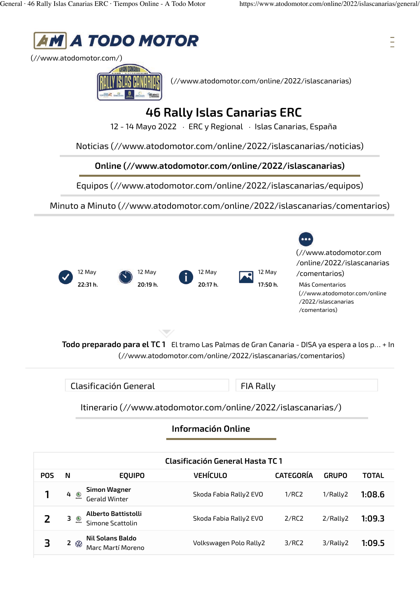Ξ



(//www.atodomotor.com/)



(//www.atodomotor.com/online/2022/islascanarias)

## **46 Rally Islas Canarias ERC**

12 - 14 Mayo 2022 · ERC y Regional · Islas Canarias, España

Noticias (//www.atodomotor.com/online/2022/islascanarias/noticias)

**Online (//www.atodomotor.com/online/2022/islascanarias)**

Equipos (//www.atodomotor.com/online/2022/islascanarias/equipos)

Minuto a Minuto (//www.atodomotor.com/online/2022/islascanarias/comentarios)



Clasificación General FIA Rally

Itinerario (//www.atodomotor.com/online/2022/islascanarias/)

**Información Online**

|            | Clasificación General Hasta TC 1 |                                         |                        |                  |                |              |  |
|------------|----------------------------------|-----------------------------------------|------------------------|------------------|----------------|--------------|--|
| <b>POS</b> | N                                | <b>EOUIPO</b>                           | <b>VEHÍCULO</b>        | <b>CATEGORÍA</b> | <b>GRUPO</b>   | <b>TOTAL</b> |  |
|            | $4 \circledcirc$                 | <b>Simon Wagner</b><br>Gerald Winter    | Skoda Fabia Rally2 EVO | 1/RC2            | 1/Rally2       | 1:08.6       |  |
|            | $3 \circledcirc$                 | Alberto Battistolli<br>Simone Scattolin | Skoda Fabia Rally2 EVO | 2/RC2            | $2/R$ ally $2$ | 1:09.3       |  |
| 3          | 2 $\otimes$                      | Nil Solans Baldo<br>Marc Martí Moreno   | Volkswagen Polo Rally2 | 3/RC2            | $3/R$ ally2    | 1:09.5       |  |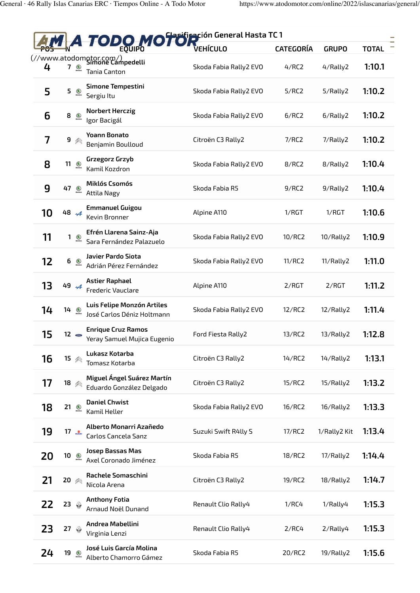| <b>ODO MOTOR</b> ión General Hasta TC 1 |                               |                                                              |                        |                  |              |              |  |
|-----------------------------------------|-------------------------------|--------------------------------------------------------------|------------------------|------------------|--------------|--------------|--|
|                                         |                               |                                                              |                        | <b>CATEGORÍA</b> | <b>GRUPO</b> | <b>TOTAL</b> |  |
| 4                                       | 7<br>$\bigcirc$               | (//www.atodomotor.com/)<br>Simone Campedelli<br>Tania Canton | Skoda Fabia Rally2 EVO | 4/RC2            | 4/Rally2     | 1:10.1       |  |
| 5                                       | 5                             | <b>Simone Tempestini</b><br>Sergiu Itu                       | Skoda Fabia Rally2 EVO | 5/RC2            | 5/Rally2     | 1:10.2       |  |
| 6                                       | 8<br>$\bullet$                | <b>Norbert Herczig</b><br>Igor Bacigál                       | Skoda Fabia Rally2 EVO | 6/RC2            | 6/Rally2     | 1:10.2       |  |
| 7                                       | 9                             | <b>Yoann Bonato</b><br>Benjamin Boulloud                     | Citroën C3 Rally2      | 7/RC2            | 7/Rally2     | 1:10.2       |  |
| 8                                       | $11 \n\infty$                 | Grzegorz Grzyb<br>Kamil Kozdron                              | Skoda Fabia Rally2 EVO | 8/RC2            | 8/Rally2     | 1:10.4       |  |
| 9                                       | 47 <u>●</u>                   | Miklós Csomós<br><b>Attila Nagy</b>                          | Skoda Fabia R5         | 9/RC2            | 9/Rally2     | 1:10.4       |  |
| 10                                      | 48 44                         | <b>Emmanuel Guigou</b><br>Kevin Bronner                      | Alpine A110            | 1/RGT            | 1/RCT        | 1:10.6       |  |
| 11                                      | 1<br>$\circledcirc$           | Efrén Llarena Sainz-Aja<br>Sara Fernández Palazuelo          | Skoda Fabia Rally2 EVO | 10/RC2           | 10/Rally2    | 1:10.9       |  |
| 12                                      | $6 \nbrace{0}$                | Javier Pardo Siota<br>Adrián Pérez Fernández                 | Skoda Fabia Rally2 EVO | 11/RC2           | 11/Rally2    | 1:11.0       |  |
| 13                                      | 49.4                          | <b>Astier Raphael</b><br><b>Frederic Vauclare</b>            | Alpine A110            | 2/RGT            | 2/RGT        | 1:11.2       |  |
| 14                                      | $14 \circ$                    | Luis Felipe Monzón Artiles<br>José Carlos Déniz Holtmann     | Skoda Fabia Rally2 EVO | 12/RC2           | 12/Rally2    | 1:11.4       |  |
| 15                                      | $12 \bullet$                  | <b>Enrique Cruz Ramos</b><br>Yeray Samuel Mujica Eugenio     | Ford Fiesta Rally2     | 13/RC2           | 13/Rally2    | 1:12.8       |  |
| 16                                      | $15 \text{ } \textcircled{*}$ | Lukasz Kotarba<br>Tomasz Kotarba                             | Citroën C3 Rally2      | 14/RC2           | 14/Rally2    | 1:13.1       |  |
| 17                                      | 18 《                          | Miguel Ángel Suárez Martín<br>Eduardo González Delgado       | Citroën C3 Rally2      | 15/RC2           | 15/Rally2    | 1:13.2       |  |
| 18                                      | $21 \n\infty$                 | <b>Daniel Chwist</b><br>Kamil Heller                         | Skoda Fabia Rally2 EVO | 16/RC2           | 16/Rally2    | 1:13.3       |  |
| 19                                      | 17 $\frac{1}{2}$              | Alberto Monarri Azañedo<br>Carlos Cancela Sanz               | Suzuki Swift R4lly S   | 17/RC2           | 1/Rally2 Kit | 1:13.4       |  |
| 20                                      | $10 \n\infty$                 | Josep Bassas Mas<br>Axel Coronado Jiménez                    | Skoda Fabia R5         | 18/RC2           | 17/Rally2    | 1:14.4       |  |
| 21                                      | $20$ $\otimes$                | <b>Rachele Somaschini</b><br>Nicola Arena                    | Citroën C3 Rally2      | 19/RC2           | 18/Rally2    | 1:14.7       |  |
| 22                                      | 23 $\circledcirc$             | <b>Anthony Fotia</b><br>Arnaud Noël Dunand                   | Renault Clio Rally4    | 1/RC4            | 1/Rally4     | 1:15.3       |  |
| 23                                      | 27 $\otimes$                  | Andrea Mabellini<br>Virginia Lenzi                           | Renault Clio Rally4    | 2/RC4            | 2/Rally4     | 1:15.3       |  |
| 24                                      | $19 \n\infty$                 | José Luis García Molina<br>Alberto Chamorro Gámez            | Skoda Fabia R5         | 20/RC2           | 19/Rally2    | 1:15.6       |  |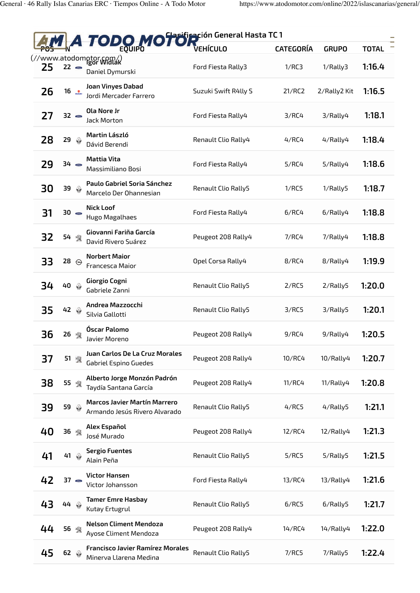|    |                      | <b>TODO MOTOR</b> IÓN General Hasta TC1                              |                      |                  |              |              |
|----|----------------------|----------------------------------------------------------------------|----------------------|------------------|--------------|--------------|
|    |                      |                                                                      | <b>VEHÍCULO</b>      | <b>CATEGORÍA</b> | <b>GRUPO</b> | <b>TOTAL</b> |
| 25 | $22 -$               | (//www.atodomotor.com/)<br>Igor Widlak<br>Daniel Dymurski            | Ford Fiesta Rally3   | 1/RC3            | 1/Rally3     | 1:16.4       |
| 26 | 16 $\triangle$       | Joan Vinyes Dabad<br>Jordi Mercader Farrero                          | Suzuki Swift R4lly S | 21/RC2           | 2/Rally2 Kit | 1:16.5       |
| 27 | $32 -$               | Ola Nore Jr<br>Jack Morton                                           | Ford Fiesta Rally4   | 3/RC4            | 3/Rally4     | 1:18.1       |
| 28 | 29 $\circledcirc$    | Martin László<br>Dávid Berendi                                       | Renault Clio Rally4  | 4/RC4            | 4/Rally4     | 1:18.4       |
| 29 | 34 -                 | <b>Mattia Vita</b><br>Massimiliano Bosi                              | Ford Fiesta Rally4   | 5/RC4            | 5/Rally4     | 1:18.6       |
| 30 | 39 $\circledcirc$    | Paulo Gabriel Soria Sánchez<br>Marcelo Der Ohannesian                | Renault Clio Rally5  | 1/RC5            | 1/Rally5     | 1:18.7       |
| 31 | $30 -$               | <b>Nick Loof</b><br>Hugo Magalhaes                                   | Ford Fiesta Rally4   | 6/RC4            | $6/R$ ally4  | 1:18.8       |
| 32 | 54 骤                 | Giovanni Fariña García<br>David Rivero Suárez                        | Peugeot 208 Rally4   | 7/RC4            | 7/Rally4     | 1:18.8       |
| 33 | 28 $\ominus$         | <b>Norbert Maior</b><br>Francesca Maior                              | Opel Corsa Rally4    | 8/RC4            | 8/Rally4     | 1:19.9       |
| 34 | 40 4                 | Giorgio Cogni<br>Gabriele Zanni                                      | Renault Clio Rally5  | 2/RC5            | 2/Rally5     | 1:20.0       |
| 35 | 42 A                 | Andrea Mazzocchi<br>Silvia Gallotti                                  | Renault Clio Rally5  | 3/RC5            | 3/Rally5     | 1:20.1       |
| 36 | 26 骤                 | Óscar Palomo<br>Javier Moreno                                        | Peugeot 208 Rally4   | 9/RC4            | 9/Rally4     | 1:20.5       |
| 37 | 51 骤                 | Juan Carlos De La Cruz Morales<br>Gabriel Espino Guedes              | Peugeot 208 Rally4   | 10/RC4           | 10/Rally4    | 1:20.7       |
| 38 | 55 豫                 | Alberto Jorge Monzón Padrón<br>Taydía Santana García                 | Peugeot 208 Rally4   | 11/RC4           | 11/Rally4    | 1:20.8       |
| 39 | 59 A                 | <b>Marcos Javier Martín Marrero</b><br>Armando Jesús Rivero Alvarado | Renault Clio Rally5  | 4/RC5            | 4/Rally5     | 1:21.1       |
| 40 | 36 黎                 | Alex Español<br>José Murado                                          | Peugeot 208 Rally4   | 12/RC4           | 12/Rally4    | 1:21.3       |
| 41 | 41 4                 | <b>Sergio Fuentes</b><br>Alain Peña                                  | Renault Clio Rally5  | 5/RC5            | 5/Rally5     | 1:21.5       |
| 42 | $37 \bullet$         | Victor Hansen<br>Victor Johansson                                    | Ford Fiesta Rally4   | 13/RC4           | 13/Rally4    | 1:21.6       |
| 43 | $44 \circ$           | <b>Tamer Emre Hasbay</b><br>Kutay Ertugrul                           | Renault Clio Rally5  | 6/RC5            | 6/Rally5     | 1:21.7       |
| 44 | 56 骤                 | <b>Nelson Climent Mendoza</b><br>Ayose Climent Mendoza               | Peugeot 208 Rally4   | 14/RC4           | 14/Rally4    | 1:22.0       |
| 45 | $62 \Leftrightarrow$ | <b>Francisco Javier Ramírez Morales</b><br>Minerva Llarena Medina    | Renault Clio Rally5  | 7/RC5            | 7/Rally5     | 1:22.4       |
|    |                      |                                                                      |                      |                  |              |              |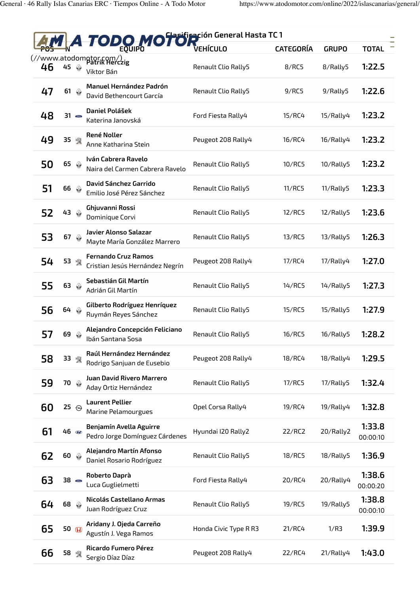|    |                         | <b>ODO MOTOR</b> Ción General Hasta TC 1                      |                       |                  |              |                    |
|----|-------------------------|---------------------------------------------------------------|-----------------------|------------------|--------------|--------------------|
|    |                         |                                                               |                       | <b>CATEGORÍA</b> | <b>GRUPO</b> | <b>TOTAL</b>       |
| 46 | 45 @                    | (//www.atodomgtor.com/)<br>Patrik Herczig<br>Viktor Bán       | Renault Clio Rally5   | 8/RC5            | 8/Rally5     | 1:22.5             |
| 47 | $61$ $\circledcirc$     | Manuel Hernández Padrón<br>David Bethencourt García           | Renault Clio Rally5   | 9/RC5            | 9/Rally5     | 1:22.6             |
| 48 | $31 -$                  | Daniel Polášek<br>Katerina Janovská                           | Ford Fiesta Rally4    | 15/RC4           | 15/Rally4    | 1:23.2             |
| 49 | 35 骥                    | René Noller<br>Anne Katharina Stein                           | Peugeot 208 Rally4    | 16/RC4           | 16/Rally4    | 1:23.2             |
| 50 | 65 $\circledS$          | Iván Cabrera Ravelo<br>Naira del Carmen Cabrera Ravelo        | Renault Clio Rally5   | 10/RC5           | 10/Rally5    | 1:23.2             |
| 51 | $66 \Leftrightarrow$    | David Sánchez Garrido<br>Emilio José Pérez Sánchez            | Renault Clio Rally5   | 11/RC5           | 11/Rally5    | 1:23.3             |
| 52 | $43$ $\circledcirc$     | Ghjuvanni Rossi<br>Dominique Corvi                            | Renault Clio Rally5   | 12/RC5           | 12/Rally5    | 1:23.6             |
| 53 | $67$ $@$                | Javier Alonso Salazar<br>Mayte María González Marrero         | Renault Clio Rally5   | 13/RC5           | 13/Rally5    | 1:26.3             |
| 54 | 53 豫                    | <b>Fernando Cruz Ramos</b><br>Cristian Jesús Hernández Negrín | Peugeot 208 Rally4    | 17/RC4           | 17/Rally4    | 1:27.0             |
| 55 | $63$ $@$                | Sebastián Gil Martín<br>Adrián Gil Martín                     | Renault Clio Rally5   | 14/RC5           | 14/Rally5    | 1:27.3             |
| 56 | $64 \circ$              | Gilberto Rodríguez Henríquez<br>Ruymán Reyes Sánchez          | Renault Clio Rally5   | 15/RC5           | 15/Rally5    | 1:27.9             |
| 57 | $69$ $\circledcirc$     | Alejandro Concepción Feliciano<br>Ibán Santana Sosa           | Renault Clio Rally5   | 16/RC5           | 16/Rally5    | 1:28.2             |
| 58 | 33 餐                    | Raúl Hernández Hernández<br>Rodrigo Sanjuan de Eusebio        | Peugeot 208 Rally4    | 18/RC4           | 18/Rally4    | 1:29.5             |
| 59 | 70 <sup>4</sup>         | Juan David Rivero Marrero<br>Aday Ortiz Hernández             | Renault Clio Rally5   | 17/RC5           | 17/Rally5    | 1:32.4             |
| 60 | 25 $\Theta$             | <b>Laurent Pellier</b><br><b>Marine Pelamourgues</b>          | Opel Corsa Rally4     | 19/RC4           | 19/Rally4    | 1:32.8             |
| 61 | $46 \circledast$        | Benjamín Avella Aguirre<br>Pedro Jorge Domínguez Cárdenes     | Hyundai I20 Rally2    | 22/RC2           | 20/Rally2    | 1:33.8<br>00:00:10 |
| 62 | $60 \quad \circledcirc$ | Alejandro Martín Afonso<br>Daniel Rosario Rodríguez           | Renault Clio Rally5   | 18/RC5           | 18/Rally5    | 1:36.9             |
| 63 | $38 \bullet$            | Roberto Daprà<br>Luca Guglielmetti                            | Ford Fiesta Rally4    | 20/RC4           | 20/Rally4    | 1:38.6<br>00:00:20 |
| 64 | $68$ $\circledcirc$     | Nicolás Castellano Armas<br>Juan Rodríguez Cruz               | Renault Clio Rally5   | 19/RC5           | 19/Rally5    | 1:38.8<br>00:00:10 |
| 65 | 50 H                    | Aridany J. Ojeda Carreño<br>Agustín J. Vega Ramos             | Honda Civic Type R R3 | 21/RC4           | 1/R3         | 1:39.9             |
| 66 | 58 黎                    | <b>Ricardo Fumero Pérez</b><br>Sergio Díaz Díaz               | Peugeot 208 Rally4    | 22/RC4           | 21/Rally4    | 1:43.0             |
|    |                         |                                                               |                       |                  |              |                    |